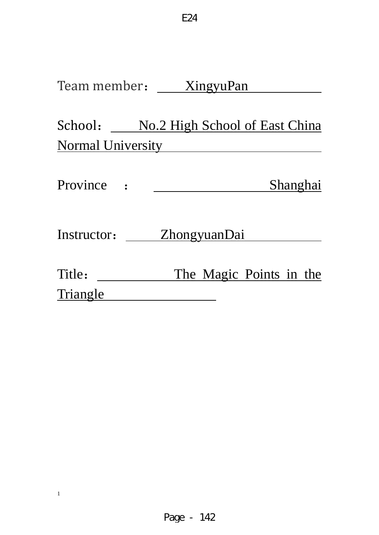# Team member: \_\_\_\_\_ XingyuPan

School: No.2 High School of East China Normal University

E24

| <b>Province</b> | Shanghai |
|-----------------|----------|
|                 |          |

Instructor: **ZhongyuanDai** 

| Title:   | The Magic Points in the |  |  |
|----------|-------------------------|--|--|
| Triangle |                         |  |  |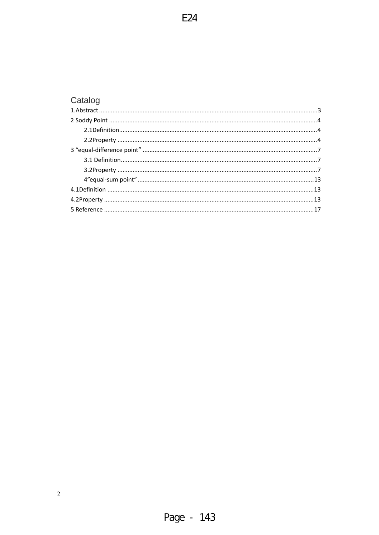| Catalog |  |
|---------|--|
|         |  |
|         |  |
|         |  |
|         |  |
|         |  |
|         |  |
|         |  |
|         |  |
|         |  |
|         |  |
|         |  |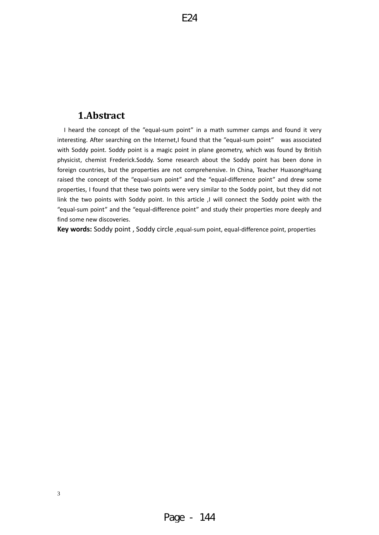#### <span id="page-2-0"></span>**1.Abstract**

I heard the concept of the "equal‐sum point" in a math summer camps and found it very interesting. After searching on the Internet,I found that the "equal-sum point" was associated with Soddy point. Soddy point is a magic point in plane geometry, which was found by British physicist, chemist Frederick.Soddy. Some research about the Soddy point has been done in foreign countries, but the properties are not comprehensive. In China, Teacher HuasongHuang raised the concept of the "equal‐sum point" and the "equal‐difference point" and drew some properties, I found that these two points were very similar to the Soddy point, but they did not link the two points with Soddy point. In this article ,I will connect the Soddy point with the find some new discoveries. "equal‐sum point" and the "equal‐difference point" and study their properties more deeply and

**ey words:** Soddy point , Soddy circle ,equal‐sum point, equal‐difference point, properties **K**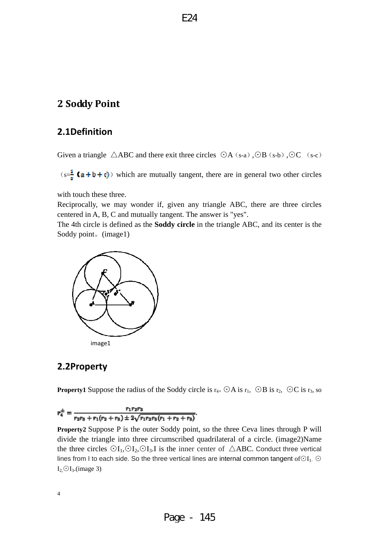## <span id="page-3-0"></span>**2 Soddy Point**

## **2.1Definition**

Given a triangle  $\triangle$ ABC and there exit three circles  $\odot$ A (s-a), $\odot$ B (s-b), $\odot$ C (s-c)

 $(s=\frac{1}{s}$  (a + b + c)) which are mutually tangent, there are in general two other circles

with touch these three.

Reciprocally, we may wonder if, given any triangle ABC, there are three circles centered in A, B, C and m utually tangent. The answer is "yes".

The 4th circle is defined as the **Soddy circle** in the triangle ABC, and its center is the Soddy point。(image1)



#### **2.2Property**

**Property1** Suppose the radius of the Soddy circle is  $r_4$ , ⊙A is  $r_1$ , ⊙B is  $r_2$ , ⊙C is  $r_3$ , so

$$
r_4^{\pm} = \frac{r_1 r_2 r_3}{r_2 r_3 + r_1 (r_2 + r_3) \pm 2\sqrt{r_1 r_2 r_3 (r_1 + r_2 + r_3)}}
$$

**Property2** Suppose P is the outer Soddy point, so the three Ceva lines through P will divide the triangle into three circumscribed quadrilateral of a circle. (image2)Name the three circles  $\odot I_1, \odot I_2, \odot I_3$ . I is the inner center of  $\triangle ABC$ . Conduct three vertical lines from I to each side. So the three vertical lines are internal common tangent of⊙I<sub>1</sub>,  $\odot$  $I_2 \odot I_3$ .(image 3)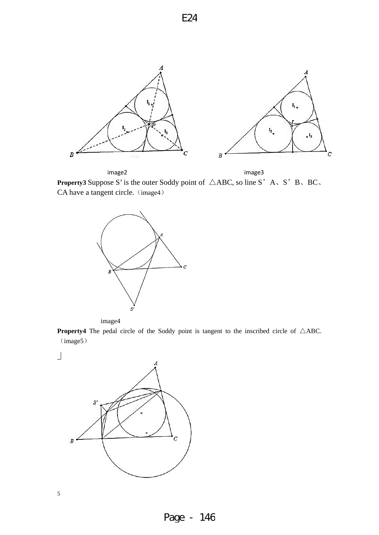

 image2 image3 **Property3** Suppose S' is the outer Soddy point of  $\triangle ABC$ , so line S' A, S' B, BC, CA have a tangent circle. (image4)



image4

**Property4** The pedal circle of the Soddy point is tangent to the inscribed circle of △ABC. (image5)

 $\Box$ 





Page - 146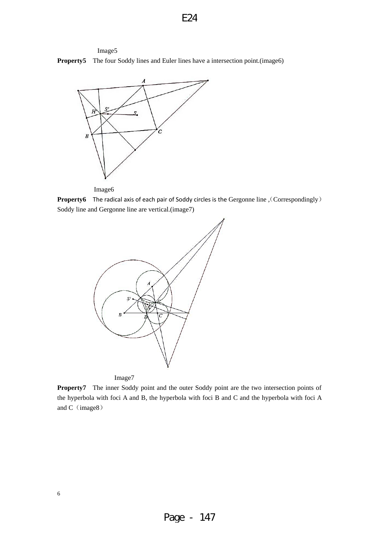



Image6

**Property6** The radical axis of each pair of Soddy circles is the Gergonne line, (Correspondingly) Soddy line and Gergonne line are vertical.(image7)



Image7

**Property7** The inner Soddy point and the outer Soddy point are the two intersection points of the hyperbola with foci A and B, the hyperbola with foci B and C and the hyperbola with foci A and  $C$  (image8)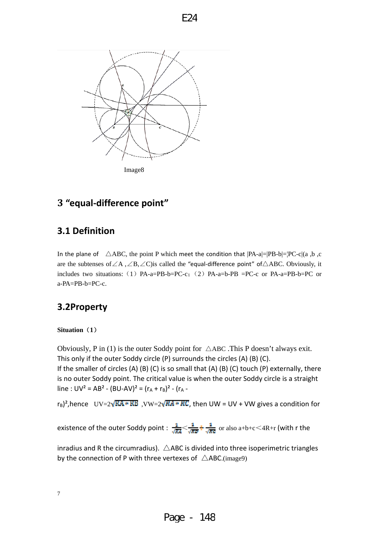<span id="page-6-0"></span>

# **3 "equal‐difference point"**

# **3.1 Definition**

In the plane of  $\triangle$ ABC, the point P which meet the condition that  $|PA-a|=|PB-b|=|PC-c|(a, b, c)$ are the subtenses of  $\angle A$ ,  $\angle B$ ,  $\angle C$ ) is called the "equal-difference point" of  $\triangle ABC$ . Obviously, it includes two situations: (1) PA-a=PB-b=PC-c; (2) PA-a=b-PB =PC-c or PA-a=PB-b=PC or  $a-PA=PB-b=PC-c$ .

# **3.2Property**

#### **Situation**(**1**)

Obviously, P in (1) is the outer Soddy point for  $\triangle$ ABC. This P doesn't always exit. This only if the outer Soddy circle (P) surrounds the circles (A) (B) (C). If the smaller of circles (A) (B) (C) is so small that (A) (B) (C) touch (P) externally, there is no outer Soddy point. The critical value is when the outer Soddy circle is a straight

line :  $UV^2 = AB^2 - (BU-AV)^2 = (r_A + r_B)^2 - (r_A -$ 

 $r_B$ <sup>2</sup>, hence  $UV=2\sqrt{KA*RB}$ ,  $VW=2\sqrt{WA*RC}$ , then UW = UV + VW gives a condition for

existence of the outer Soddy point :  $\frac{1}{\sqrt{NA}} < \frac{1}{\sqrt{NA}} + \frac{1}{\sqrt{NA}}$  or also a+b+c <4R+r (with r the

inradius and R the circumradius).  $\triangle$ ABC is divided into three isoperimetric triangles by the connection of P with three vertexes of  $\triangle$ ABC.(image9)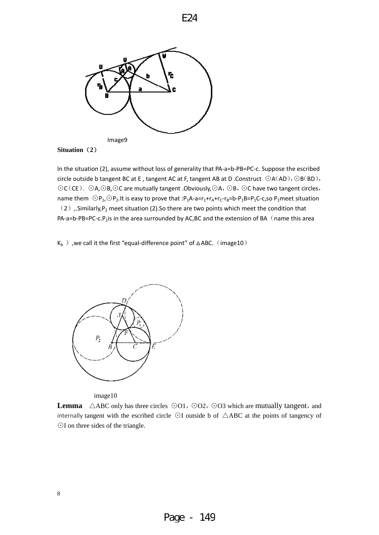

#### **Situation**(**2**)

In the situation (2), assume without loss of generality that PA‐a=b‐PB=PC‐c. Suppose the escribed circle outside b tangent BC at E , tangent AC at F, tangent AB at D .Construct ⊙A(AD),⊙B(BD), ⊙C(CE). ⊙A,⊙B,⊙C are mutually tangent .Obviously,⊙A,⊙B,⊙C have two tangent circles, name them  $\odot$ P<sub>1</sub>, $\odot$ P<sub>2</sub>.It is easy to prove that :P<sub>1</sub>A-a=r<sub>1</sub>+r<sub>A</sub>+r<sub>C</sub>-r<sub>B</sub>=b-P<sub>1</sub>B=P<sub>1</sub>C-c,so P<sub>1</sub>meet situation (2) ,.Similarly, P<sub>2</sub> meet situation (2).So there are two points which meet the condition that PA-a=b-PB=PC-c.P<sub>1</sub>is in the area surrounded by AC,BC and the extension of BA (name this area

K<sub>b</sub> ), we call it the first "equal-difference point" of  $\triangle$ ABC. (image10)



image10

8

Lemma △ABC only has three circles ⊙O1, ⊙O2, ⊙O3 which are mutually tangent, and internally tangent with the escribed circle ⊙I outside b of △ABC at the points of tangency of ⊙I on three sides of the triangle.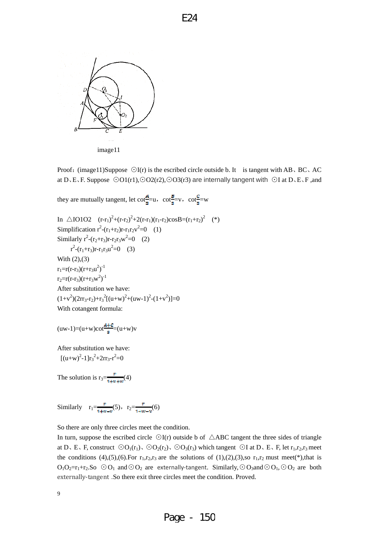

Proof: (image11)Suppose ⊙I(r) is the escribed circle outside b. It is tangent with AB、BC、AC at D、E、F. Suppose ⊙O1(r1),⊙O2(r2),⊙O3(r3) are internally tangent with ⊙I at D、E、F ,and

they are mutually tangent, let 
$$
\cot_{\underline{\sigma}}^{\underline{A}}=u
$$
,  $\cot_{\underline{\sigma}}^{\underline{E}}=v$ ,  $\cot_{\underline{\sigma}}^{\underline{C}}=w$   
\nIn  $\triangle IO1O2$   $(r-r_1)^2+(r-r_2)^2+2(r-r_1)(r_1-r_2)cosB=(r_1+r_2)^2$  (\*)  
\nSimplification  $r^2-(r_1+r_2)r-r_1r_2v^2=0$  (1)  
\nSimilarly  $r^2-(r_2+r_3)r-r_2r_3w^2=0$  (2)  
\n $r^2-(r_1+r_3)r-r_1r_3u^2=0$  (3)

With (2),(3)  $r_1 = r(r-r_3)(r+r_3u^2)^{-1}$  $r_2 = r(r-r_3)(r+r_3w^2)^{-1}$ After substitution we have:  $(1+v^2)(2rr_3-r_2)+r_3^2[(u+w)^2+(uw-1)^2-(1+v^2)]=0$ 

With cotangent formula:

$$
(uw\text{-}1)\text{=}(u\text{+}w)\text{cot}\frac{\text{A} \text{+}c}{\text{s}}\text{=}(u\text{+}w)v
$$

After substitution we have:  $[(u+w)^2-1]r_3^2+2rr_3-r^2=0$ 

The solution is  $r_3 = \frac{r}{1 + \pi + w}(4)$ 

Similarly  $r_1 = \frac{r}{1 + r - r}(5)$ ,  $r_2 = \frac{r}{1 + r - r}(6)$ 

So there are only three circles meet the condition.

In turn, suppose the escribed circle  $\bigcirc$ I(r) outside b of  $\triangle$ ABC tangent the three sides of triangle at D、E、F, construct  $\odot O_1(r_1)$ ,  $\odot O_2(r_2)$ ,  $\odot O_3(r_3)$  which tangent  $\odot I$  at D、E、F, let  $r_1, r_2, r_3$  meet the conditions (4),(5),(6). For  $r_1, r_2, r_3$  are the solutions of (1),(2),(3),so  $r_1, r_2$  must meet(\*),that is  $O_1O_2=r_1+r_2.So$   $\odot O_1$  and  $\odot O_2$  are externally-tangent. Similarly,  $\odot O_3$  and  $\odot O_1$ ,  $\odot O_2$  are both externally‐tangent .So there exit three circles meet the condition. Proved.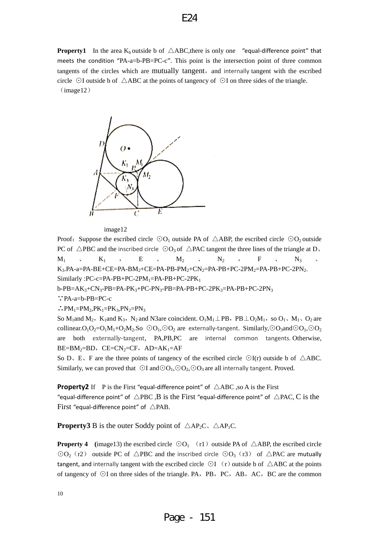**Property1** In the area  $K_b$  outside b of  $\triangle$ ABC, there is only one "equal-difference point" that meets the condition "PA-a=b-PB=PC-c". This point is the intersection point of three common tangents of the circles which are mutually tangent, and internally tangent with the escribed circle ⊙I outside b of △ABC at the points of tangency of ⊙I on three sides of the triangle.  $(image12)$ 



image12

Proof: Suppose the escribed circle  $\odot$ O<sub>1</sub> outside PA of  $\triangle$ ABP, the escribed circle  $\odot$ O<sub>2</sub> outside PC of  $\triangle$ PBC and the inscribed circle  $\odot$ O<sub>3</sub> of  $\triangle$ PAC tangent the three lines of the triangle at D<sub>2</sub>  $M_1$  ,  $K_1$  ,  $E$  ,  $M_2$  ,  $N_2$  ,  $F$  ,  $N_3$  , K<sub>3</sub>.PA-a=PA-BE+CE=PA-BM<sub>2</sub>+CE=PA-PB-PM<sub>2</sub>+CN<sub>2</sub>=PA-PB+PC-2PM<sub>2</sub>=PA-PB+PC-2PN<sub>2</sub>. Similarly :PC-c=PA-PB+PC-2PM<sub>1</sub>=PA-PB+PC-2PK<sub>1</sub>

 $b-PB=AK_3+CN_3-PB=PA-PK_3+PC-PN_3-PB=PA-PB+PC-2PK_3=PA-PB+PC-2PN_3$ 

∵PA-a=b-PB=PC-c

 $\therefore PM_1=PM_2, PK_1=PK_3, PN_2=PN_3$ 

So M<sub>1</sub>and M<sub>2</sub>, K<sub>1</sub>and K<sub>3</sub>, N<sub>2</sub> and N3are coincident. O<sub>1</sub>M<sub>1</sub> ⊥PB, PB ⊥O<sub>2</sub>M<sub>1</sub>, so O<sub>1</sub>、M<sub>1</sub>、O<sub>2</sub> are collinear.O<sub>1</sub>O<sub>2</sub>=O<sub>1</sub>M<sub>1</sub>+O<sub>2</sub>M<sub>2</sub>.So  $\odot$ O<sub>1</sub>, $\odot$ O<sub>2</sub> are externally-tangent. Similarly, $\odot$ O<sub>3</sub>and $\odot$ O<sub>1</sub>, $\odot$ O<sub>2</sub> are both externally-tangent, PA,PB,PC are internal common tangents. Otherwise,  $BE=BM_2=BD$ ,  $CE=CN_2=CF$ ,  $AD=AK_1=AF$ 

So D, E, F are the three points of tangency of the escribed circle  $\odot$ I(r) outside b of  $\triangle$ ABC. Similarly, we can proved that  $\bigcirc I$  and $\bigcirc O_1$ , $\bigcirc O_2$ , $\bigcirc O_3$  are all internally tangent. Proved.

**Property2** If P is the First "equal-difference point" of  $\triangle$ ABC ,so A is the First "equal-difference point" of  $\triangle$ PBC, B is the First "equal-difference point" of  $\triangle$ PAC, C is the First "equal-difference point" of  $\triangle$ PAB.

**Property3** B is the outer Soddy point of  $\triangle AP_2C$ ,  $\triangle AP_1C$ .

**Property 4** (image13) the escribed circle  $\odot$ O<sub>1</sub> (r1) outside PA of  $\triangle$ ABP, the escribed circle  $\odot$ O<sub>2</sub> (r2) outside PC of  $\triangle$ PBC and the inscribed circle  $\odot$ O<sub>3</sub> (r3) of  $\triangle$ PAC are mutually tangent, and internally tangent with the escribed circle  $\odot$ I (r) outside b of  $\triangle$ ABC at the points of tangency of ⊙I on three sides of the triangle. PA, PB, PC, AB, AC, BC are the common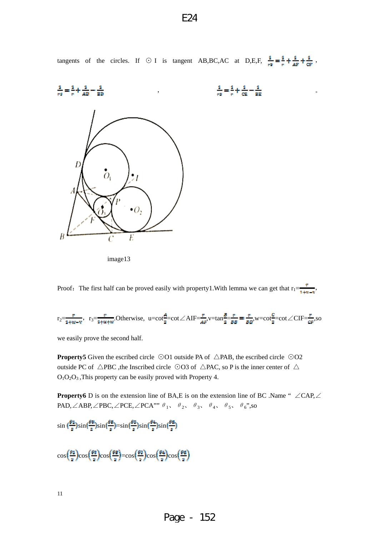tangents of the circles. If  $\odot$  I is tangent AB,BC,AC at D,E,F,  $\frac{1}{r_1} = \frac{1}{r_1} + \frac{1}{AF} + \frac{1}{CF}$ ,  $\frac{1}{m^2} = \frac{1}{m} + \frac{1}{AD}$  $\frac{1}{r^2} = \frac{1}{r} + \frac{1}{cE} - \frac{1}{2E}$  ( L  $\stackrel{\bullet}{O}_1$  $\frac{1}{2}$  $\bullet$  O. B E

image13

Proof: The first half can be proved easily with property1. With lemma we can get that  $r_1 = \frac{r}{1+rt - r}$ 

$$
r_2 = \frac{r}{1+w-v}, \quad r_3 = \frac{r}{1+w+w}.\text{Otherwise, } u = \cot\frac{A}{2} = \cot\angle A \cdot \text{IF} = \frac{r}{AF}, v = \tan\frac{B}{2} = \frac{r}{BB}, w = \cot\frac{C}{2} = \cot\angle C \cdot \text{IF} = \frac{r}{AF}, so
$$

we easily prove the second half.

**Property5** Given the escribed circle ⊙O1 outside PA of △PAB, the escribed circle ⊙O2 outside PC of  $\triangle$ PBC, the Inscribed circle ⊙O3 of  $\triangle$ PAC, so P is the inner center of  $\triangle$ O1O2O3 ,This property can be easily proved with Property 4.

**Property6** D is on the extension line of BA,E is on the extension line of BC .Name " ∠CAP,∠ PAD,∠ABP,∠PBC,∠PCE,∠PCA""  $\theta_1$ ,  $\theta_2$ ,  $\theta_3$ ,  $\theta_4$ ,  $\theta_5$ ,  $\theta_6$ ",so

$$
\sin\left(\frac{\theta\alpha}{z}\right)\sin\left(\frac{\theta\alpha}{z}\right)\sin\left(\frac{\theta\alpha}{z}\right)=\sin\left(\frac{\theta\alpha}{z}\right)\sin\left(\frac{\theta\alpha}{z}\right)\sin\left(\frac{\theta\alpha}{z}\right)
$$

$$
\cos\left(\frac{\theta \alpha}{2}\right) \cos\left(\frac{\theta \alpha}{2}\right) \cos\left(\frac{\theta \alpha}{2}\right) = \cos\left(\frac{\theta \alpha}{2}\right) \cos\left(\frac{\theta \alpha}{2}\right) \cos\left(\frac{\theta \alpha}{2}\right)
$$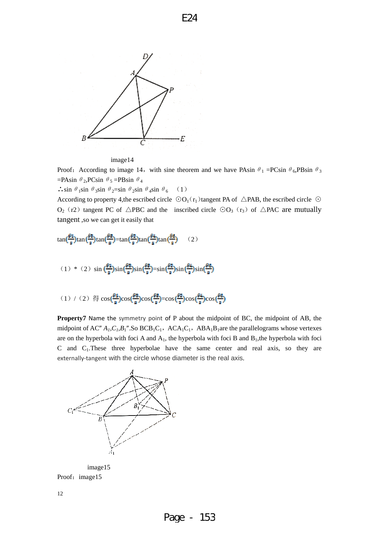

image14

Proof: According to image 14, with sine theorem and we have PAsin  $\theta_1$  =PCsin  $\theta_6$ ,PBsin  $\theta_3$  $=$ PAsin  $\theta_2$ ,PCsin  $\theta_5$  =PBsin  $\theta_4$ 

∴sin  $\theta_1$ sin  $\theta_3$ sin  $\theta_2$ =sin  $\theta_2$ sin  $\theta_4$ sin  $\theta_6$  (1)

According to property 4,the escribed circle  $\odot$ O<sub>1</sub>( $r_1$ )tangent PA of  $\triangle$ PAB, the escribed circle  $\odot$ O<sub>2</sub> (r2) tangent PC of  $\triangle$ PBC and the inscribed circle ⊙O<sub>3</sub> (r<sub>3</sub>) of  $\triangle$ PAC are mutually tangent ,so we can get it easily that

$$
\tan(\frac{\theta_4}{s})\tan(\frac{\theta_5}{s})\tan(\frac{\theta_6}{s})=\tan(\frac{\theta_4}{s})\tan(\frac{\theta_4}{s})\tan(\frac{\theta_5}{s})\qquad(2)
$$

(1) \* (2) 
$$
\sin\left(\frac{\theta 4}{5}\right)\sin\left(\frac{\theta 5}{5}\right)\sin\left(\frac{\theta 5}{5}\right)=\sin\left(\frac{\theta 5}{5}\right)\sin\left(\frac{\theta 4}{5}\right)\sin\left(\frac{\theta 6}{5}\right)
$$

(1) / (2) 
$$
\textcircled{\text{#}} \cos\left(\frac{\theta_1}{\pi}\right) \cos\left(\frac{\theta_2}{\pi}\right) = \cos\left(\frac{\theta_2}{\pi}\right) \cos\left(\frac{\theta_4}{\pi}\right) \cos\left(\frac{\theta_5}{\pi}\right)
$$

**Property7** Name the symmetry point of P about the midpoint of BC, the midpoint of AB, the midpoint of AC"  $A_1, C_1, B_1$ ".So  $BCB_1C_1$ ,  $ACA_1C_1$ ,  $ABA_1B_1$ are the parallelograms whose vertexes are on the hyperbola with foci A and  $A_1$ , the hyperbola with foci B and  $B_1$ , the hyperbola with foci C and C1.These three hyperbolae have the same center and real axis, so they are externally-tangent with the circle whose diameter is the real axis.



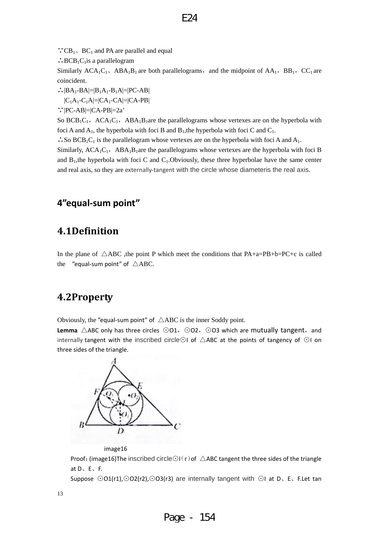<span id="page-12-0"></span> $\because CB_1$ , BC<sub>1</sub> and PA are parallel and equal

 $\therefore$ BCB<sub>1</sub>C<sub>1</sub>is a parallelogram

Similarly  $ACA_1C_1$ ,  $ABA_1B_1$  are both parallelograms, and the midpoint of  $AA_1$ ,  $BB_1$ ,  $CC_1$  are coincident.

∴ $|BA_1-BA|=|B_1A_1-B_1A|=|PC-AB|$ 

 $|C_1A_1-C_1A|=|CA_1-CA|=|CA-PB|$ 

∵|PC-AB|=|CA-PB|=2a'

So  $BCB_1C_1$ ,  $ACA_1C_1$ ,  $ABA_1B_1$ are the parallelograms whose vertexes are on the hyperbola with foci A and  $A_1$ , the hyperbola with foci B and  $B_1$ , the hyperbola with foci C and  $C_1$ .

∴So BCB<sub>1</sub>C<sub>1</sub> is the parallelogram whose vertexes are on the hyperbola with foci A and A<sub>1</sub>.

Similarly,  $ACA_1C_1$ ,  $ABA_1B_1$ are the parallelograms whose vertexes are the hyperbola with foci B and  $B_1$ , the hyperbola with foci C and  $C_1$ . Obviously, these three hyperbolae have the same center and real axis, so they are externally-tangent with the circle whose diameteris the real axis.

# **4"equal‐sum point"**

# **4.1Definition**

In the plane of  $\triangle$ ABC, the point P which meet the conditions that PA+a=PB+b=PC+c is called the "equal-sum point" of  $\triangle ABC$ .

## **4.2Property**

Obviously, the "equal-sum point" of  $\triangle ABC$  is the inner Soddy point.

Lemma △ABC only has three circles ⊙O1, ⊙O2, ⊙O3 which are mutually tangent, and internally tangent with the inscribed circle⊙I of △ABC at the points of tangency of ⊙I on three sides of the triangle.



image16

Proof: (image16)The inscribed circle⊙I(r)of  $\triangle$ ABC tangent the three sides of the triangle at D、E、F.

Suppose ⊙O1(r1),⊙O2(r2),⊙O3(r3) are internally tangent with ⊙I at D、E、F.Let tan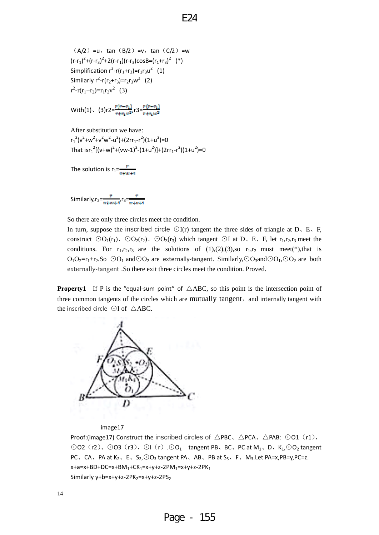$(A/2) = u$ , tan  $(B/2) = v$ , tan  $(C/2) = w$  $(r-r_1)^2+(r-r_3)^2+2(r-r_1)(r-r_3)cosh=(r_1+r_3)^2$  (\*) Simplification  $r^2-r(r_1+r_3)=r_1r_3u^2$  (1) Similarly  $r^2 - r(r_2 + r_3) = r_2r_3w^2$  (2)  $r^2-r(r_1+r_2)=r_1r_2v^2$  (3)

With(1),  $(3)r2=\frac{r(r-r_1)}{r+r_1r^2}r3=\frac{r(r-r_1)}{r+r_1r^2}$ 

After substitution we have:  $r_1^2(v^2+w^2+v^2w^2-u^2)+(2rr_1-r^2)(1+u^2)=0$ That  $\text{isr}_1^2[(v+w)^2 + (vw-1)^2 - (1+u^2)] + (2rr_1 - r^2)(1+u^2) = 0$ 

The solution is  $r_1 = \frac{r}{w + w + 4}$ 

Similarly,  $r_2 = \frac{r}{\pi + m + r}$ ,  $r_3 = \frac{r}{\pi + m + 4}$ 

So there are only three circles meet the condition.

In turn, suppose the inscribed circle  $\odot I(r)$  tangent the three sides of triangle at D, E, F, construct  $\odot$ O<sub>1</sub>(r<sub>1</sub>)、 $\odot$ O<sub>2</sub>(r<sub>2</sub>)、 $\odot$ O<sub>3</sub>(r<sub>3</sub>) which tangent  $\odot$ I at D、E、F, let r<sub>1</sub>,r<sub>2</sub>,r<sub>3</sub> meet the conditions. For  $r_1,r_2,r_3$  are the solutions of  $(1),(2),(3)$ , so  $r_1,r_2$  must meet(\*), that is O<sub>1</sub>O<sub>2</sub>=r<sub>1</sub>+r<sub>2</sub>.So  $\odot$ O<sub>1</sub> and $\odot$ O<sub>2</sub> are externally-tangent. Similarly, $\odot$ O<sub>3</sub>and $\odot$ O<sub>1</sub>, $\odot$ O<sub>2</sub> are both externally‐tangent .So there exit three circles meet the condition. Proved.

**Property1** If P is the "equal-sum point" of  $\triangle ABC$ , so this point is the intersection point of three common tangents of the circles which are mutually tangent, and internally tangent with the inscribed circle ⊙I of △ABC.



image17

Proof:(image17) Construct the inscribed circles of  $\triangle$ PBC,  $\triangle$ PCA,  $\triangle$ PAB:  $\odot$ O1 (r1), ⊙O2(r2)、⊙O3(r3)、⊙I(r).⊙O1 tangent PB、BC、PC at M1、D、K1,⊙O2 tangent PC、CA、PA at K<sub>2</sub>、E、S<sub>2</sub>, $\odot$ O<sub>3</sub> tangent PA、AB、PB at S<sub>3</sub>、F、M<sub>3</sub>.Let PA=x,PB=y,PC=z.  $x+a=x+BD+DC=x+BM_1+CK_1=x+y+z-2PM_1=x+y+z-2PK_1$ Similarly  $y+b=x+y+z-2PK_2=x+y+z-2PS_2$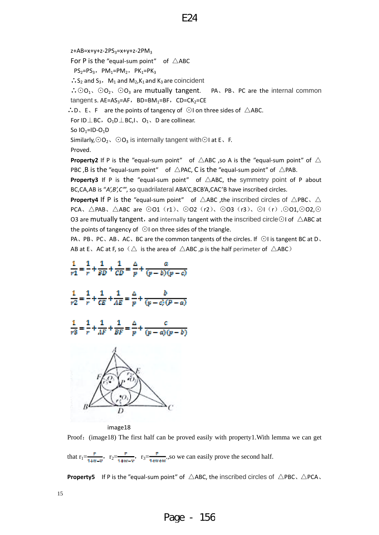$z+AB=x+y+z-2PS_3=x+y+z-2PM_3$ 

For P is the "equal-sum point" of  $\triangle$ ABC

 $PS_2=PS_3$ ,  $PM_1=PM_2$ ,  $PK_1=PK_3$ 

∴S<sub>2</sub> and S<sub>3</sub>, M<sub>1</sub> and M<sub>2</sub>, K<sub>1</sub> and K<sub>3</sub> are coincident

∴⊙O<sub>1</sub>、⊙O<sub>2</sub>、⊙O<sub>3</sub> are mutually tangent. PA、PB、PC are the internal common tangent s.  $AE=AS_3=AF$ ,  $BD=BM_1=BF$ ,  $CD=CK_2=CE$ 

∴D、E、F are the points of tangency of  $\odot$ I on three sides of  $\triangle$ ABC.

For ID⊥BC,  $O_1D \perp BC$ ,  $O_1$ , D are collinear.

So  $IO_1=ID-O_1D$ 

Similarly,  $\odot$  O<sub>2</sub>、 $\odot$  O<sub>3</sub> is internally tangent with $\odot$ I at E、F.

Proved.

**Property2** If P is the "equal-sum point" of  $\triangle$ ABC ,so A is the "equal-sum point" of  $\triangle$ PBC, B is the "equal-sum point" of  $\triangle$  PAC, C is the "equal-sum point" of  $\triangle$  PAB.

**Property3** If P is the "equal-sum point" of  $\triangle$ ABC, the symmetry point of P about BC,CA,AB is "*A',B',C'*", so quadrilateral ABA'C,BCB'A,CAC'B have inscribed circles.

**Property4** If P is the "equal-sum point" of  $\triangle$ ABC, the inscribed circles of  $\triangle$ PBC,  $\triangle$ PCA、△PAB、△ABC are ⊙O1 (r1)、⊙O2 (r2)、⊙O3 (r3)、⊙I(r).⊙O1,⊙O2,⊙ O3 are mutually tangent, and internally tangent with the inscribed circle⊙I of  $\triangle$ ABC at the points of tangency of ⊙I on three sides of the triangle.

PA、PB、PC、AB、AC、BC are the common tangents of the circles. If ⊙I is tangent BC at D、 AB at E, AC at F, so  $(\triangle$  is the area of  $\triangle$ ABC ,p is the half perimeter of  $\triangle$ ABC)



image18

Proof: (image18) The first half can be proved easily with property1. With lemma we can get

that  $r_1 = \frac{r}{1 + w - w}$ ,  $r_2 = \frac{r}{1 + w - w}$ ,  $r_3 = \frac{r}{1 + w + w}$ , so we can easily prove the second half.

**Property5**  If P is the "equal‐sum point" of △ABC, the inscribed circles of △PBC、△PCA、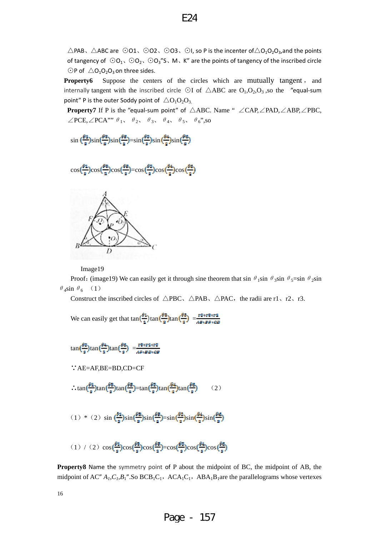$\triangle$ PAB,  $\triangle$ ABC are  $\odot$ O1,  $\odot$ O2,  $\odot$ O3,  $\odot$ I, so P is the incenter of $\triangle$ O<sub>1</sub>O<sub>2</sub>O<sub>3</sub>, and the points of tangency of  $\odot$ O<sub>1</sub>,  $\odot$ O<sub>2</sub>,  $\odot$ O<sub>3</sub>"S, M, K" are the points of tangency of the inscribed circle  $\odot$ P of  $\triangle$ O<sub>1</sub>O<sub>2</sub>O<sub>3</sub> on three sides.

E24

**Property6** Suppose the centers of the circles which are mutually tangent, and internally tangent with the inscribed circle ⊙I of  $\triangle$ ABC are O<sub>1</sub>,O<sub>2</sub>,O<sub>3</sub>,so the "equal-sum point" P is the outer Soddy point of  $\triangle$ O<sub>1</sub>O<sub>2</sub>O<sub>3.</sub>

**Property7** If P is the "equal‐sum point" of △ABC. Name " ∠CAP,∠PAD,∠ABP,∠PBC, ∠PCE,∠PCA""  $\theta_1$ ,  $\theta_2$ ,  $\theta_3$ ,  $\theta_4$ ,  $\theta_5$ ,  $\theta_6$ ", so

$$
\sin{(\frac{\beta\alpha}{2})}\text{sin}(\frac{\beta\alpha}{2})\text{sin}(\frac{\beta\alpha}{2})\text{sin}(\frac{\beta\alpha}{2})\text{sin}(\frac{\beta\alpha}{2})\text{sin}(\frac{\beta\alpha}{2})
$$

$$
\cos(\frac{\beta 1}{2})\cos(\frac{\beta 2}{2})\cos(\frac{\beta 2}{2})=\cos(\frac{\beta 2}{2})\cos(\frac{\beta 4}{2})\cos(\frac{\beta 6}{2})
$$



Image19

Proof: (image19) We can easily get it through sine theorem that sin  $\theta_1$ sin  $\theta_3$ sin  $\theta_5$ =sin  $\theta_2$ sin  $\theta_4$ sin  $\theta_6$  (1)

Construct the inscribed circles of  $\triangle PBC$ ,  $\triangle PAB$ ,  $\triangle PAC$ , the radii are r1, r2, r3.

We can easily get that  $\tan(\frac{\theta_1}{2})\tan(\frac{\theta_2}{2})\tan(\frac{\theta_3}{2}) = \frac{r2 \cdot r2 \cdot r1}{AB \cdot BP \cdot CD}$ 

$$
\tan\left(\frac{\theta \delta}{2}\right) \tan\left(\frac{\theta \delta}{2}\right) \tan\left(\frac{\theta \delta}{2}\right) = \frac{r\delta \sin 2\pi r\delta}{\Delta R + B\delta \cos \theta}
$$

∵AE=AF,BE=BD,CD=CF

$$
\therefore \tan(\frac{\theta_4}{\pi})\tan(\frac{\theta_5}{\pi})\tan(\frac{\theta_6}{\pi}) = \tan(\frac{\theta_3}{\pi})\tan(\frac{\theta_4}{\pi})\tan(\frac{\theta_6}{\pi})
$$
 (2)

(1) \* (2) 
$$
\sin\left(\frac{\theta s}{s}\right)\sin\left(\frac{\theta s}{s}\right)\sin\left(\frac{\theta s}{s}\right)-\sin\left(\frac{\theta s}{s}\right)\sin\left(\frac{\theta s}{s}\right)\sin\left(\frac{\theta s}{s}\right)
$$

$$
(1) / (2) \cos(\frac{\beta 4}{2})\cos(\frac{\beta 8}{2})\cos(\frac{\beta 8}{2}) = \cos(\frac{\beta 2}{2})\cos(\frac{\beta 4}{2})\cos(\frac{\beta 6}{2})
$$

**Property8** Name the symmetry point of P about the midpoint of BC, the midpoint of AB, the midpoint of AC"  $A_1, C_1, B_1$ ".So BCB<sub>1</sub>C<sub>1</sub>, ACA<sub>1</sub>C<sub>1</sub>, ABA<sub>1</sub>B<sub>1</sub>are the parallelograms whose vertexes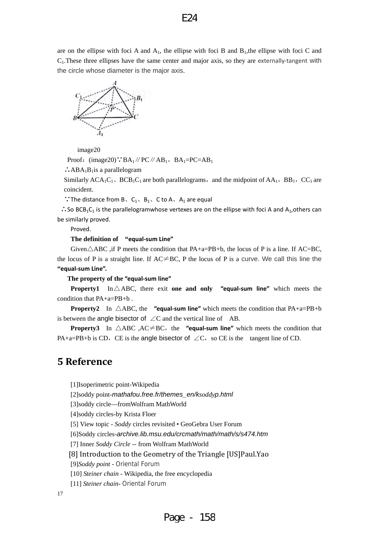<span id="page-16-0"></span>are on the ellipse with foci A and  $A<sub>1</sub>$ , the ellipse with foci B and  $B<sub>1</sub>$ , the ellipse with foci C and  $C<sub>1</sub>$ . These three ellipses have the same center and major axis, so they are externally-tangent with the circle whose diameter is the major axis.



image20

Proof: (image20)∵BA<sub>1</sub> // PC // AB<sub>1</sub>, BA<sub>1</sub>=PC=AB<sub>1</sub>

 $\therefore$ ABA<sub>1</sub>B<sub>1</sub>is a parallelogram

Similarly  $ACA_1C_1$ ,  $BCB_1C_1$  are both parallelograms, and the midpoint of  $AA_1$ ,  $BB_1$ ,  $CC_1$  are coincident.

∵The distance from B,  $C_1$ ,  $B_1$ , C to A, A<sub>1</sub> are equal

∴So BCB<sub>1</sub>C<sub>1</sub> is the parallelogramwhose vertexes are on the ellipse with foci A and A<sub>1</sub>, others can be similarly proved.

Proved.

**The definition of "equal‐sum Line"**

Given $\triangle$ ABC , if P meets the condition that PA+a=PB+b, the locus of P is a line. If AC=BC, the locus of P is a straight line. If  $AC \neq BC$ , P the locus of P is a curve. We call this line the **"equal‐sum Line".**

**The property of the "equal‐sum line"**

**Property1** In  $\triangle$  ABC, there exit **one and only**  "equal-sum line" which meets the condition that PA+a=PB+b .

**Property2** In  $\triangle ABC$ , the "equal-sum line" which meets the condition that  $PA+a=PB+b$ is between the angle bisector of  $\angle C$  and the vertical line of AB.

**Property3** In  $\triangle ABC$ ,  $AC \neq BC$ , the **"equal-sum line"** which meets the condition that PA+a=PB+b is CD, CE is the angle bisector of  $\angle C$ , so CE is the tangent line of CD.

#### **5 Reference**

[1]Isoperimetric point-Wikipedia

[2]soddy point-*mathafou.free.fr/themes\_en/ksoddyp.html*

[3]soddy circle—fromWolfram MathWorld

[4]soddy circles-by Krista Floer

[5] View topic - *Soddy* [circles revisited • GeoGebra User Forum](http://www.google.com.hk/url?sa=t&rct=j&q=soddy%20point&source=web&cd=5&ved=0CEoQFjAE&url=%68%74%74%70%3a%2f%2f%77%77%77%2e%67%65%6f%67%65%62%72%61%2e%6f%72%67%2f%66%6f%72%75%6d%2f%76%69%65%77%74%6f%70%69%63%2e%70%68%70%3f%66%3d%32%26%74%3d%32%39%35%34%39&ei=bv4bUpLuE9CviQfw-4CYCA&usg=AFQjCNGGLc3gTSjClogL-b0DVYQ4KLHN9A&bvm=bv.51156542,d.aGc&cad=rjt) 

[6]Soddy circles-*archive.lib.msu.edu/crcmath/math/math/s/s474.htm*

[7] Inner *Soddy Circle* -- from Wolfram MathWorld

[8] Introduction to the Geometry of the Triangle [US]Paul.Yao

[9]*Soddy point* - Oriental Forum

[10] *Steiner chain* - Wikipedia, the free encyclopedia

[11] *Steiner chain*- Oriental Forum